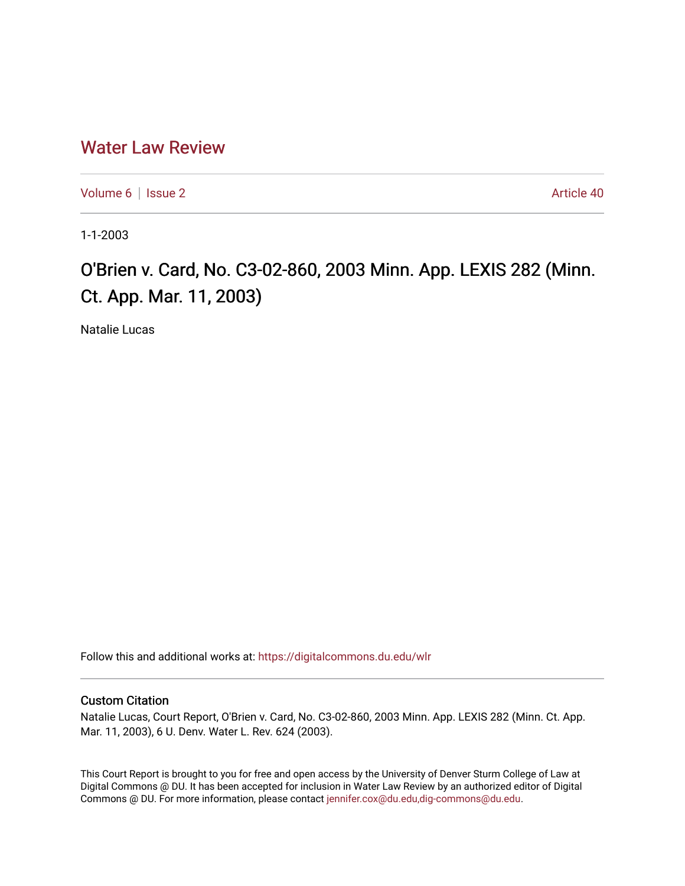# [Water Law Review](https://digitalcommons.du.edu/wlr)

[Volume 6](https://digitalcommons.du.edu/wlr/vol6) | [Issue 2](https://digitalcommons.du.edu/wlr/vol6/iss2) Article 40

1-1-2003

# O'Brien v. Card, No. C3-02-860, 2003 Minn. App. LEXIS 282 (Minn. Ct. App. Mar. 11, 2003)

Natalie Lucas

Follow this and additional works at: [https://digitalcommons.du.edu/wlr](https://digitalcommons.du.edu/wlr?utm_source=digitalcommons.du.edu%2Fwlr%2Fvol6%2Fiss2%2F40&utm_medium=PDF&utm_campaign=PDFCoverPages) 

## Custom Citation

Natalie Lucas, Court Report, O'Brien v. Card, No. C3-02-860, 2003 Minn. App. LEXIS 282 (Minn. Ct. App. Mar. 11, 2003), 6 U. Denv. Water L. Rev. 624 (2003).

This Court Report is brought to you for free and open access by the University of Denver Sturm College of Law at Digital Commons @ DU. It has been accepted for inclusion in Water Law Review by an authorized editor of Digital Commons @ DU. For more information, please contact [jennifer.cox@du.edu,dig-commons@du.edu.](mailto:jennifer.cox@du.edu,dig-commons@du.edu)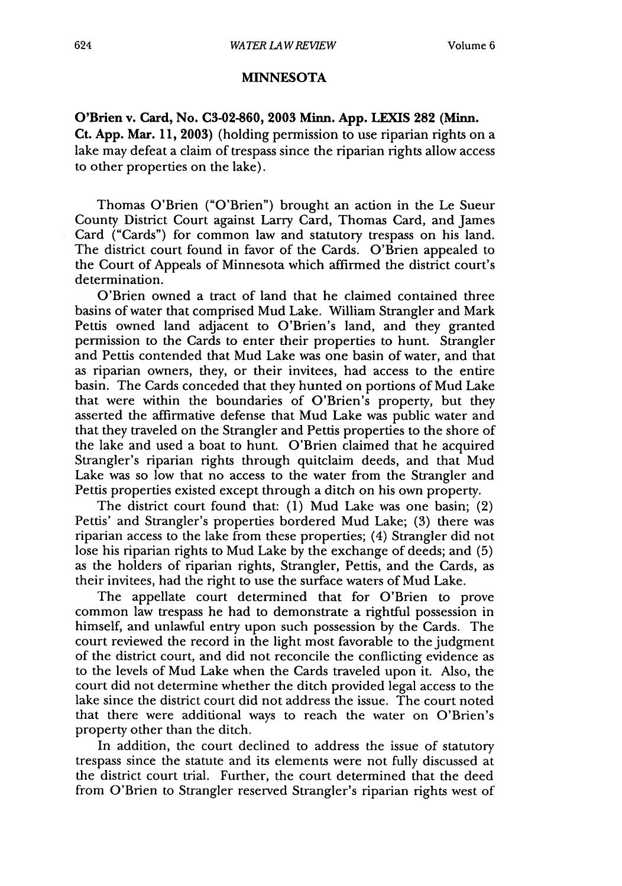### **MINNESOTA**

**O'Brien v. Card, No. C3-02-860, 2003 Minn. App. LEXIS 282 (Minn. Ct. App. Mar. 11, 2003)** (holding permission to use riparian rights on a lake may defeat a claim of trespass since the riparian rights allow access to other properties on the lake).

Thomas O'Brien ("O'Brien") brought an action in the Le Sueur County District Court against Larry Card, Thomas Card, and James Card ("Cards") for common law and statutory trespass on his land. The district court found in favor of the Cards. O'Brien appealed to the Court of Appeals of Minnesota which affirmed the district court's determination.

O'Brien owned a tract of land that he claimed contained three basins of water that comprised Mud Lake. William Strangler and Mark Pettis owned land adjacent to O'Brien's land, and they granted permission to the Cards to enter their properties to hunt. Strangler and Pettis contended that Mud Lake was one basin of water, and that as riparian owners, they, or their invitees, had access to the entire basin. The Cards conceded that they hunted on portions of Mud Lake that were within the boundaries of O'Brien's property, but they asserted the affirmative defense that Mud Lake was public water and that they traveled on the Strangler and Pettis properties to the shore of the lake and used a boat to hunt. O'Brien claimed that he acquired Strangler's riparian rights through quitclaim deeds, and that Mud Lake was so low that no access to the water from the Strangler and Pettis properties existed except through a ditch on his own property.

The district court found that: **(1)** Mud Lake was one basin; (2) Pettis' and Strangler's properties bordered Mud Lake; **(3)** there was riparian access to the lake from these properties; (4) Strangler did not lose his riparian rights to Mud Lake **by** the exchange of deeds; and **(5)** as the holders of riparian rights, Strangler, Pettis, and the Cards, as their invitees, had the right to use the surface waters of Mud Lake.

The appellate court determined that for O'Brien to prove common law trespass he had to demonstrate a rightful possession in himself, and unlawful entry upon such possession **by** the Cards. The court reviewed the record in the light most favorable to the judgment of the district court, and did not reconcile the conflicting evidence as to the levels of Mud Lake when the Cards traveled upon it. Also, the court did not determine whether the ditch provided legal access to the lake since the district court did not address the issue. The court noted that there were additional ways to reach the water on O'Brien's property other than the ditch.

In addition, the court declined to address the issue of statutory trespass since the statute and its elements were not fully discussed at the district court trial. Further, the court determined that the deed from O'Brien to Strangler reserved Strangler's riparian rights west of